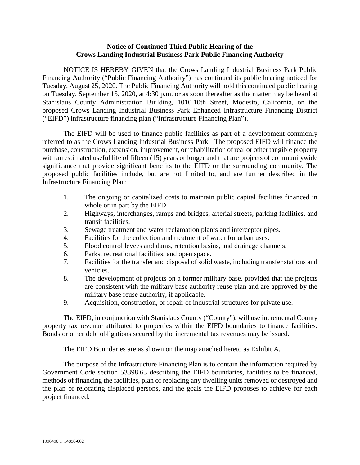## **Notice of Continued Third Public Hearing of the Crows Landing Industrial Business Park Public Financing Authority**

NOTICE IS HEREBY GIVEN that the Crows Landing Industrial Business Park Public Financing Authority ("Public Financing Authority") has continued its public hearing noticed for Tuesday, August 25, 2020. The Public Financing Authority will hold this continued public hearing on Tuesday, September 15, 2020, at 4:30 p.m. or as soon thereafter as the matter may be heard at Stanislaus County Administration Building, 1010 10th Street, Modesto, California, on the proposed Crows Landing Industrial Business Park Enhanced Infrastructure Financing District ("EIFD") infrastructure financing plan ("Infrastructure Financing Plan").

The EIFD will be used to finance public facilities as part of a development commonly referred to as the Crows Landing Industrial Business Park. The proposed EIFD will finance the purchase, construction, expansion, improvement, or rehabilitation of real or other tangible property with an estimated useful life of fifteen (15) years or longer and that are projects of communitywide significance that provide significant benefits to the EIFD or the surrounding community. The proposed public facilities include, but are not limited to, and are further described in the Infrastructure Financing Plan:

- 1. The ongoing or capitalized costs to maintain public capital facilities financed in whole or in part by the EIFD.
- 2. Highways, interchanges, ramps and bridges, arterial streets, parking facilities, and transit facilities.
- 3. Sewage treatment and water reclamation plants and interceptor pipes.
- 4. Facilities for the collection and treatment of water for urban uses.
- 5. Flood control levees and dams, retention basins, and drainage channels.
- 6. Parks, recreational facilities, and open space.
- 7. Facilities for the transfer and disposal of solid waste, including transfer stations and vehicles.
- 8. The development of projects on a former military base, provided that the projects are consistent with the military base authority reuse plan and are approved by the military base reuse authority, if applicable.
- 9. Acquisition, construction, or repair of industrial structures for private use.

The EIFD, in conjunction with Stanislaus County ("County"), will use incremental County property tax revenue attributed to properties within the EIFD boundaries to finance facilities. Bonds or other debt obligations secured by the incremental tax revenues may be issued.

The EIFD Boundaries are as shown on the map attached hereto as Exhibit A.

The purpose of the Infrastructure Financing Plan is to contain the information required by Government Code section 53398.63 describing the EIFD boundaries, facilities to be financed, methods of financing the facilities, plan of replacing any dwelling units removed or destroyed and the plan of relocating displaced persons, and the goals the EIFD proposes to achieve for each project financed.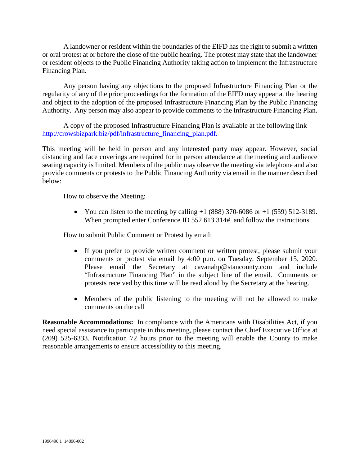A landowner or resident within the boundaries of the EIFD has the right to submit a written or oral protest at or before the close of the public hearing. The protest may state that the landowner or resident objects to the Public Financing Authority taking action to implement the Infrastructure Financing Plan.

Any person having any objections to the proposed Infrastructure Financing Plan or the regularity of any of the prior proceedings for the formation of the EIFD may appear at the hearing and object to the adoption of the proposed Infrastructure Financing Plan by the Public Financing Authority. Any person may also appear to provide comments to the Infrastructure Financing Plan.

A copy of the proposed Infrastructure Financing Plan is available at the following link [http://crowsbizpark.biz/pdf/infrastructure\\_financing\\_plan.pdf.](http://crowsbizpark.biz/pdf/infrastructure_financing_plan.pdf)

This meeting will be held in person and any interested party may appear. However, social distancing and face coverings are required for in person attendance at the meeting and audience seating capacity is limited. Members of the public may observe the meeting via telephone and also provide comments or protests to the Public Financing Authority via email in the manner described below:

How to observe the Meeting:

• You can listen to the meeting by calling  $+1$  (888) 370-6086 or  $+1$  (559) 512-3189. When prompted enter Conference ID 552 613 314# and follow the instructions.

How to submit Public Comment or Protest by email:

- If you prefer to provide written comment or written protest, please submit your comments or protest via email by 4:00 p.m. on Tuesday, September 15, 2020. Please email the Secretary at [cavanahp@stancounty.com](mailto:cavanahp@stancounty.com) and include "Infrastructure Financing Plan" in the subject line of the email. Comments or protests received by this time will be read aloud by the Secretary at the hearing.
- Members of the public listening to the meeting will not be allowed to make comments on the call

**Reasonable Accommodations:** In compliance with the Americans with Disabilities Act, if you need special assistance to participate in this meeting, please contact the Chief Executive Office at (209) 525-6333. Notification 72 hours prior to the meeting will enable the County to make reasonable arrangements to ensure accessibility to this meeting.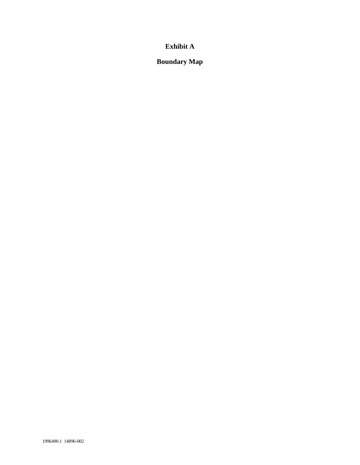## **Exhibit A**

**Boundary Map**